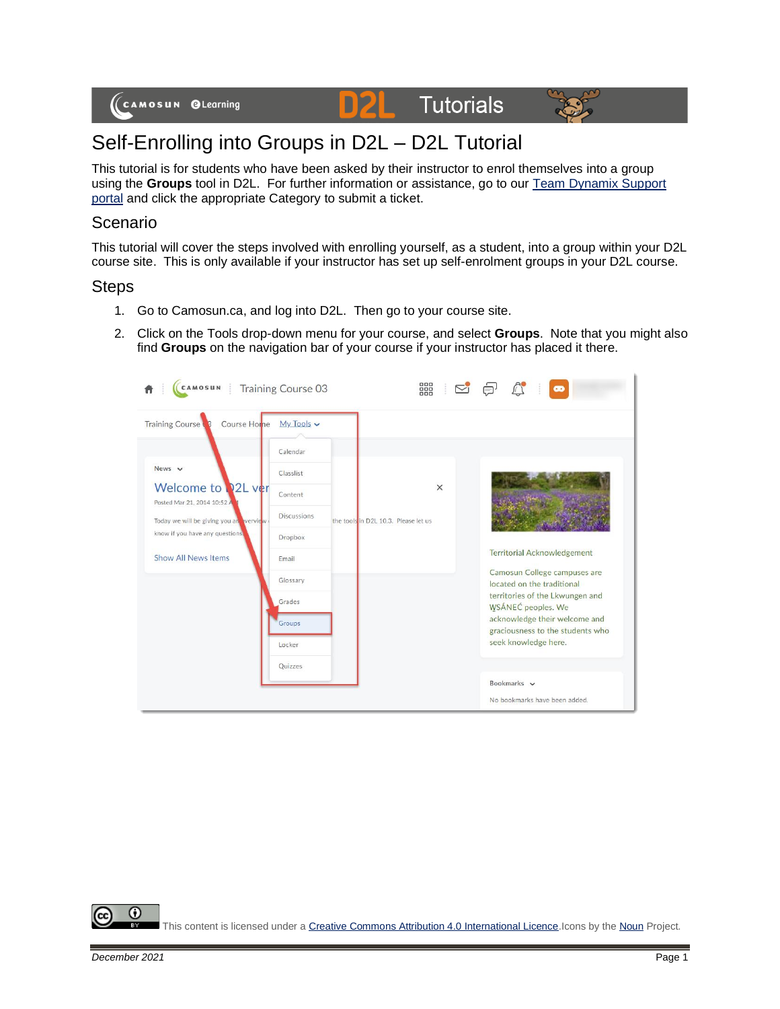





## Self-Enrolling into Groups in D2L – D2L Tutorial

This tutorial is for students who have been asked by their instructor to enrol themselves into a group using the **Groups** tool in D2L. For further information or assistance, go to our [Team Dynamix Support](https://camosun.teamdynamix.com/TDClient/67/Portal/Requests/ServiceCatalog?CategoryID=524)  [portal](https://camosun.teamdynamix.com/TDClient/67/Portal/Requests/ServiceCatalog?CategoryID=524) and click the appropriate Category to submit a ticket.

## Scenario

This tutorial will cover the steps involved with enrolling yourself, as a student, into a group within your D2L course site. This is only available if your instructor has set up self-enrolment groups in your D2L course.

## **Steps**

- 1. Go to Camosun.ca, and log into D2L. Then go to your course site.
- 2. Click on the Tools drop-down menu for your course, and select **Groups**. Note that you might also find **Groups** on the navigation bar of your course if your instructor has placed it there.

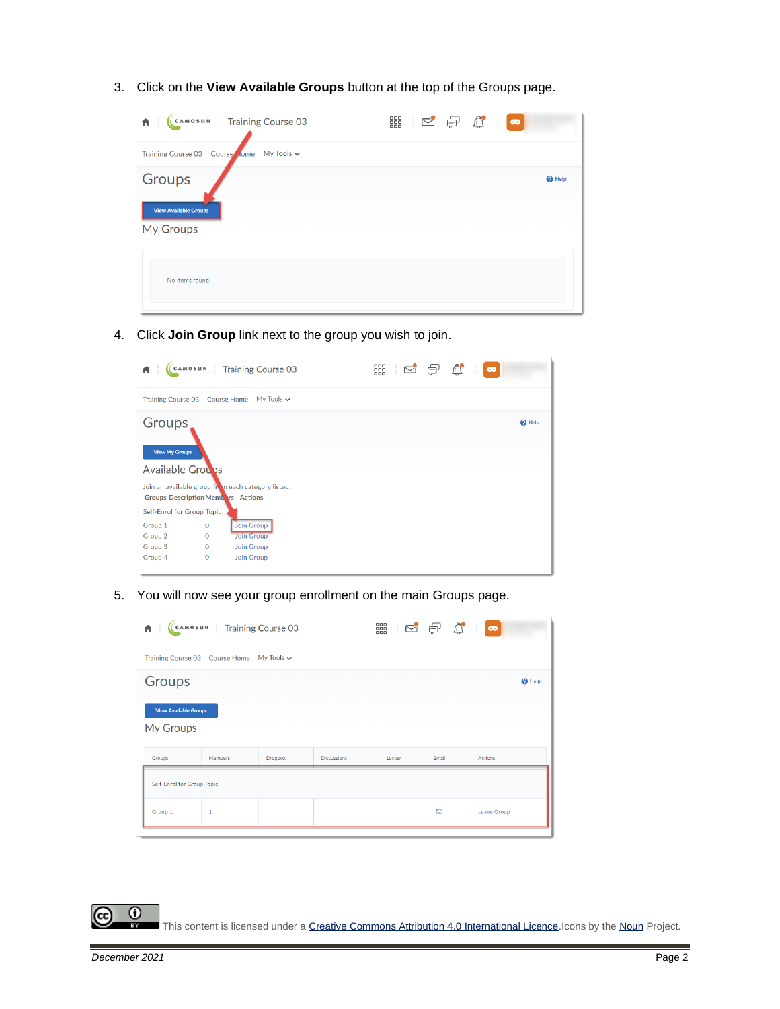3. Click on the **View Available Groups** button at the top of the Groups page.



4. Click **Join Group** link next to the group you wish to join.



5. You will now see your group enrollment on the main Groups page.



This content is licensed under [a Creative Commons Attribution 4.0 International Licence.I](https://creativecommons.org/licenses/by/4.0/)cons by th[e Noun](https://creativecommons.org/website-icons/) Project.

 $\odot$